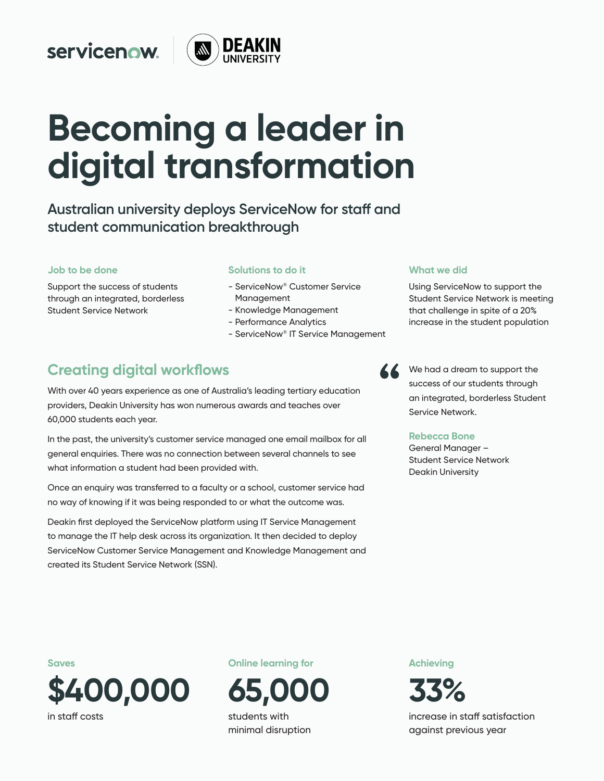## servicenow.



# **Becoming a leader in digital transformation**

**Australian university deploys ServiceNow for staff and student communication breakthrough**

#### **Job to be done**

Support the success of students through an integrated, borderless Student Service Network

#### **Solutions to do it**

- ServiceNow® Customer Service Management
- Knowledge Management
- Performance Analytics
- ServiceNow® IT Service Management

## **Creating digital workflows**

With over 40 years experience as one of Australia's leading tertiary education providers, Deakin University has won numerous awards and teaches over 60,000 students each year.

In the past, the university's customer service managed one email mailbox for all general enquiries. There was no connection between several channels to see what information a student had been provided with.

Once an enquiry was transferred to a faculty or a school, customer service had no way of knowing if it was being responded to or what the outcome was.

Deakin first deployed the ServiceNow platform using IT Service Management to manage the IT help desk across its organization. It then decided to deploy ServiceNow Customer Service Management and Knowledge Management and created its Student Service Network (SSN).

#### **What we did**

Using ServiceNow to support the Student Service Network is meeting that challenge in spite of a 20% increase in the student population

We had a dream to support the success of our students through an integrated, borderless Student Service Network.

#### **Rebecca Bone**

General Manager – Student Service Network Deakin University

**Saves \$400,000**  in staff costs

**Online learning for** 



minimal disruption

**Achieving**



increase in staff satisfaction against previous year